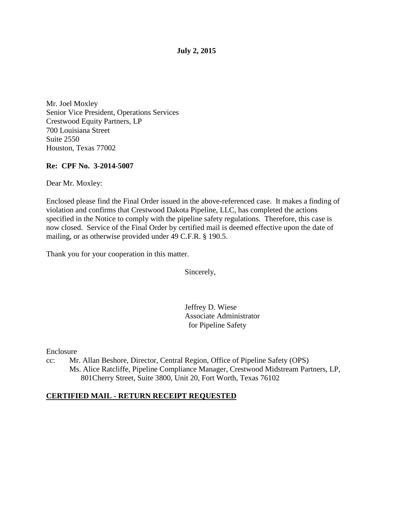#### **July 2, 2015**

Mr. Joel Moxley Senior Vice President, Operations Services Crestwood Equity Partners, LP 700 Louisiana Street Suite 2550 Houston, Texas 77002

#### **Re: CPF No. 3-2014-5007**

Dear Mr. Moxley:

Enclosed please find the Final Order issued in the above-referenced case. It makes a finding of violation and confirms that Crestwood Dakota Pipeline, LLC, has completed the actions specified in the Notice to comply with the pipeline safety regulations. Therefore, this case is now closed. Service of the Final Order by certified mail is deemed effective upon the date of mailing, or as otherwise provided under 49 C.F.R. § 190.5.

Thank you for your cooperation in this matter.

Sincerely,

Jeffrey D. Wiese Associate Administrator for Pipeline Safety

Enclosure

cc: Mr. Allan Beshore, Director, Central Region, Office of Pipeline Safety (OPS) Ms. Alice Ratcliffe, Pipeline Compliance Manager, Crestwood Midstream Partners, LP, 801Cherry Street, Suite 3800, Unit 20, Fort Worth, Texas 76102

## **CERTIFIED MAIL - RETURN RECEIPT REQUESTED**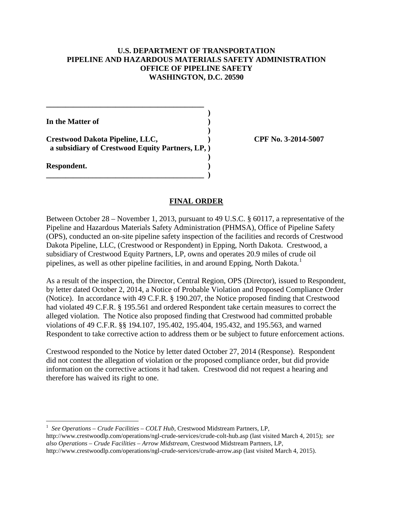### **U.S. DEPARTMENT OF TRANSPORTATION PIPELINE AND HAZARDOUS MATERIALS SAFETY ADMINISTRATION OFFICE OF PIPELINE SAFETY WASHINGTON, D.C. 20590**

 **) In the Matter of )** 

**Crestwood Dakota Pipeline, LLC, ) CPF No. 3-2014-5007 a subsidiary of Crestwood Equity Partners, LP, )** 

 **)** 

**\_\_\_\_\_\_\_\_\_\_\_\_\_\_\_\_\_\_\_\_\_\_\_\_\_\_\_\_\_\_\_\_\_\_\_\_\_\_\_\_\_ )** 

 **)** 

**\_\_\_\_\_\_\_\_\_\_\_\_\_\_\_\_\_\_\_\_\_\_\_\_\_\_\_\_\_\_\_\_\_\_\_\_\_\_\_\_\_** 

**Respondent. )** 

### **FINAL ORDER**

Between October 28 – November 1, 2013, pursuant to 49 U.S.C. § 60117, a representative of the Pipeline and Hazardous Materials Safety Administration (PHMSA), Office of Pipeline Safety (OPS), conducted an on-site pipeline safety inspection of the facilities and records of Crestwood Dakota Pipeline, LLC, (Crestwood or Respondent) in Epping, North Dakota. Crestwood, a subsidiary of Crestwood Equity Partners, LP, owns and operates 20.9 miles of crude oil pipelines, as well as other pipeline facilities, in and around Epping, North Dakota.<sup>1</sup>

As a result of the inspection, the Director, Central Region, OPS (Director), issued to Respondent, by letter dated October 2, 2014, a Notice of Probable Violation and Proposed Compliance Order (Notice). In accordance with 49 C.F.R. § 190.207, the Notice proposed finding that Crestwood had violated 49 C.F.R. § 195.561 and ordered Respondent take certain measures to correct the alleged violation. The Notice also proposed finding that Crestwood had committed probable violations of 49 C.F.R. §§ 194.107, 195.402, 195.404, 195.432, and 195.563, and warned Respondent to take corrective action to address them or be subject to future enforcement actions.

Crestwood responded to the Notice by letter dated October 27, 2014 (Response). Respondent did not contest the allegation of violation or the proposed compliance order, but did provide information on the corrective actions it had taken. Crestwood did not request a hearing and therefore has waived its right to one.

http://www.crestwoodlp.com/operations/ngl-crude-services/crude-colt-hub.asp (last visited March 4, 2015); *see also Operations – Crude Facilities – Arrow Midstream*, Crestwood Midstream Partners, LP, http://www.crestwoodlp.com/operations/ngl-crude-services/crude-arrow.asp (last visited March 4, 2015).

 $\overline{a}$ <sup>1</sup> See Operations – Crude Facilities – COLT Hub, Crestwood Midstream Partners, LP,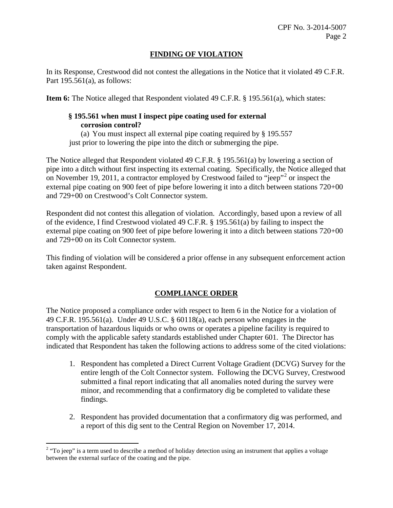## **FINDING OF VIOLATION**

In its Response, Crestwood did not contest the allegations in the Notice that it violated 49 C.F.R. Part  $195.561(a)$ , as follows:

**Item 6:** The Notice alleged that Respondent violated 49 C.F.R. § 195.561(a), which states:

## **§ 195.561 when must I inspect pipe coating used for external corrosion control?**

(a) You must inspect all external pipe coating required by § 195.557 just prior to lowering the pipe into the ditch or submerging the pipe.

The Notice alleged that Respondent violated 49 C.F.R. § 195.561(a) by lowering a section of pipe into a ditch without first inspecting its external coating. Specifically, the Notice alleged that on November 19, 2011, a contractor employed by Crestwood failed to "jeep"<sup>2</sup> or inspect the external pipe coating on 900 feet of pipe before lowering it into a ditch between stations 720+00 and 729+00 on Crestwood's Colt Connector system.

Respondent did not contest this allegation of violation. Accordingly, based upon a review of all of the evidence, I find Crestwood violated 49 C.F.R. § 195.561(a) by failing to inspect the external pipe coating on 900 feet of pipe before lowering it into a ditch between stations 720+00 and 729+00 on its Colt Connector system.

This finding of violation will be considered a prior offense in any subsequent enforcement action taken against Respondent.

# **COMPLIANCE ORDER**

The Notice proposed a compliance order with respect to Item 6 in the Notice for a violation of 49 C.F.R. 195.561(a). Under 49 U.S.C. § 60118(a), each person who engages in the transportation of hazardous liquids or who owns or operates a pipeline facility is required to comply with the applicable safety standards established under Chapter 601. The Director has indicated that Respondent has taken the following actions to address some of the cited violations:

- 1. Respondent has completed a Direct Current Voltage Gradient (DCVG) Survey for the entire length of the Colt Connector system. Following the DCVG Survey, Crestwood submitted a final report indicating that all anomalies noted during the survey were minor, and recommending that a confirmatory dig be completed to validate these findings.
- 2. Respondent has provided documentation that a confirmatory dig was performed, and a report of this dig sent to the Central Region on November 17, 2014.

 $\overline{a}$  $2 \text{ }$  "To jeep" is a term used to describe a method of holiday detection using an instrument that applies a voltage between the external surface of the coating and the pipe.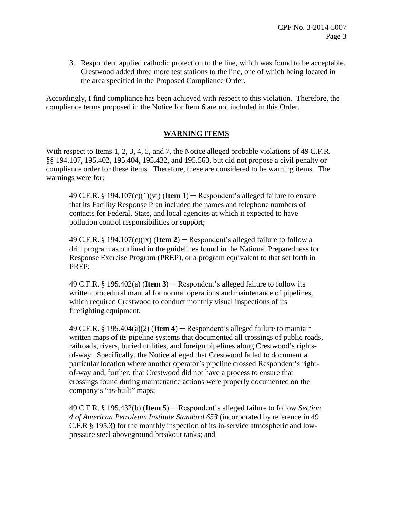3. Respondent applied cathodic protection to the line, which was found to be acceptable. Crestwood added three more test stations to the line, one of which being located in the area specified in the Proposed Compliance Order.

Accordingly, I find compliance has been achieved with respect to this violation. Therefore, the compliance terms proposed in the Notice for Item 6 are not included in this Order.

## **WARNING ITEMS**

With respect to Items 1, 2, 3, 4, 5, and 7, the Notice alleged probable violations of 49 C.F.R. §§ 194.107, 195.402, 195.404, 195.432, and 195.563, but did not propose a civil penalty or compliance order for these items. Therefore, these are considered to be warning items. The warnings were for:

49 C.F.R.  $\S$  194.107(c)(1)(vi) (**Item 1**) — Respondent's alleged failure to ensure that its Facility Response Plan included the names and telephone numbers of contacts for Federal, State, and local agencies at which it expected to have pollution control responsibilities or support;

49 C.F.R. § 194.107 $(c)(ix)$  (**Item 2**) — Respondent's alleged failure to follow a drill program as outlined in the guidelines found in the National Preparedness for Response Exercise Program (PREP), or a program equivalent to that set forth in PREP;

49 C.F.R.  $\S 195.402(a)$  (**Item 3**) — Respondent's alleged failure to follow its written procedural manual for normal operations and maintenance of pipelines, which required Crestwood to conduct monthly visual inspections of its firefighting equipment;

49 C.F.R.  $\S$  195.404(a)(2) (**Item 4**) — Respondent's alleged failure to maintain written maps of its pipeline systems that documented all crossings of public roads, railroads, rivers, buried utilities, and foreign pipelines along Crestwood's rightsof-way. Specifically, the Notice alleged that Crestwood failed to document a particular location where another operator's pipeline crossed Respondent's rightof-way and, further, that Crestwood did not have a process to ensure that crossings found during maintenance actions were properly documented on the company's "as-built" maps;

49 C.F.R. § 195.432(b) (**Item 5**) ─ Respondent's alleged failure to follow *Section 4 of American Petroleum Institute Standard 653* (incorporated by reference in 49 C.F.R § 195.3) for the monthly inspection of its in-service atmospheric and lowpressure steel aboveground breakout tanks; and